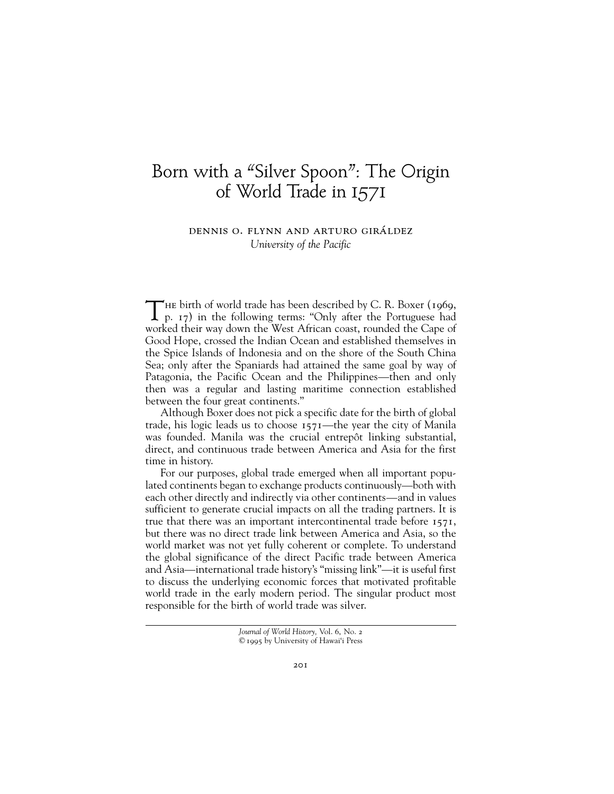# Born with a "Silver Spoon": The Origin of World Trade in 1571

dennis o. flynn and arturo giráldez *University of the Pacific*

THE birth of world trade has been described by C. R. Boxer (1969,<br>p. 17) in the following terms: "Only after the Portuguese had<br>worked their way down the West African coast, rounded the Cane of worked their way down the West African coast, rounded the Cape of Good Hope, crossed the Indian Ocean and established themselves in the Spice Islands of Indonesia and on the shore of the South China Sea; only after the Spaniards had attained the same goal by way of Patagonia, the Pacific Ocean and the Philippines—then and only then was a regular and lasting maritime connection established between the four great continents."

Although Boxer does not pick a specific date for the birth of global trade, his logic leads us to choose 1571—the year the city of Manila was founded. Manila was the crucial entrepôt linking substantial, direct, and continuous trade between America and Asia for the first time in history.

For our purposes, global trade emerged when all important populated continents began to exchange products continuously—both with each other directly and indirectly via other continents—and in values sufficient to generate crucial impacts on all the trading partners. It is true that there was an important intercontinental trade before 1571, but there was no direct trade link between America and Asia, so the world market was not yet fully coherent or complete. To understand the global significance of the direct Pacific trade between America and Asia—international trade history's "missing link"—it is useful first to discuss the underlying economic forces that motivated profitable world trade in the early modern period. The singular product most responsible for the birth of world trade was silver.

> *Journal of World History,* Vol. 6, No. 2 © 1995 by University of Hawai'i Press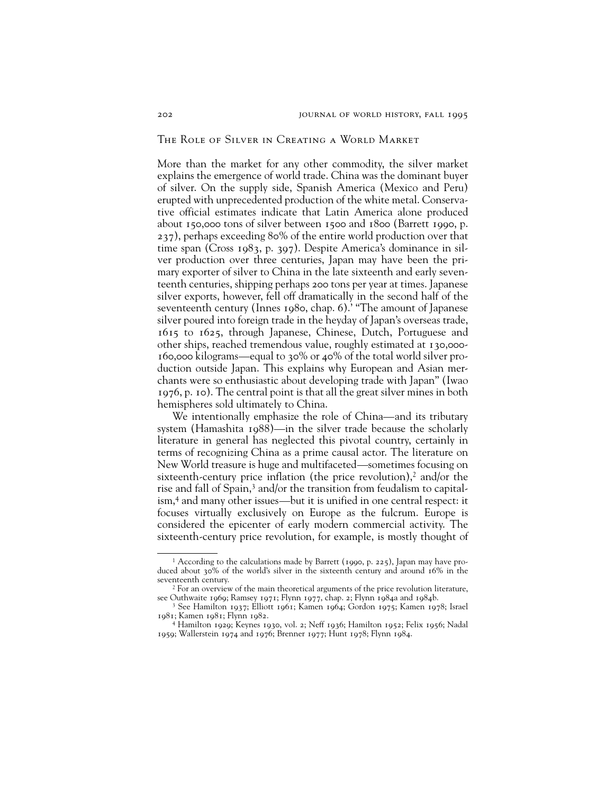### The Role of Silver in Creating a World Market

More than the market for any other commodity, the silver market explains the emergence of world trade. China was the dominant buyer of silver. On the supply side, Spanish America (Mexico and Peru) erupted with unprecedented production of the white metal. Conservative official estimates indicate that Latin America alone produced about 150,000 tons of silver between 1500 and 1800 (Barrett 1990, p. 237), perhaps exceeding 80% of the entire world production over that time span (Cross 1983, p. 397). Despite America's dominance in silver production over three centuries, Japan may have been the primary exporter of silver to China in the late sixteenth and early seventeenth centuries, shipping perhaps 200 tons per year at times. Japanese silver exports, however, fell off dramatically in the second half of the seventeenth century (Innes 1980, chap. 6).' "The amount of Japanese silver poured into foreign trade in the heyday of Japan's overseas trade, 1615 to 1625, through Japanese, Chinese, Dutch, Portuguese and other ships, reached tremendous value, roughly estimated at 130,000- 160,000 kilograms—equal to 30% or 40% of the total world silver production outside Japan. This explains why European and Asian merchants were so enthusiastic about developing trade with Japan" (Iwao 1976, p. 10). The central point is that all the great silver mines in both hemispheres sold ultimately to China.

We intentionally emphasize the role of China—and its tributary system (Hamashita 1988)—in the silver trade because the scholarly literature in general has neglected this pivotal country, certainly in terms of recognizing China as a prime causal actor. The literature on New World treasure is huge and multifaceted—sometimes focusing on sixteenth-century price inflation (the price revolution),<sup>2</sup> and/or the rise and fall of Spain,<sup>3</sup> and/or the transition from feudalism to capitalism,4 and many other issues—but it is unified in one central respect: it focuses virtually exclusively on Europe as the fulcrum. Europe is considered the epicenter of early modern commercial activity. The sixteenth-century price revolution, for example, is mostly thought of

<sup>&</sup>lt;sup>1</sup> According to the calculations made by Barrett (1990, p. 225), Japan may have produced about 30% of the world's silver in the sixteenth century and around 16% in the seventeenth century.

<sup>&</sup>lt;sup>2</sup> For an overview of the main theoretical arguments of the price revolution literature, see Outhwaite 1969; Ramsey 1971; Flynn 1977, chap. 2; Flynn 1984a and 1984b.

<sup>3</sup> See Hamilton 1937; Elliott 1961; Kamen 1964; Gordon 1975; Kamen 1978; Israel 1981; Kamen 1981; Flynn 1982.

<sup>4</sup> Hamilton 1929; Keynes 1930, vol. 2; Neff 1936; Hamilton 1952; Felix 1956; Nadal 1959; Wallerstein 1974 and 1976; Brenner 1977; Hunt 1978; Flynn 1984.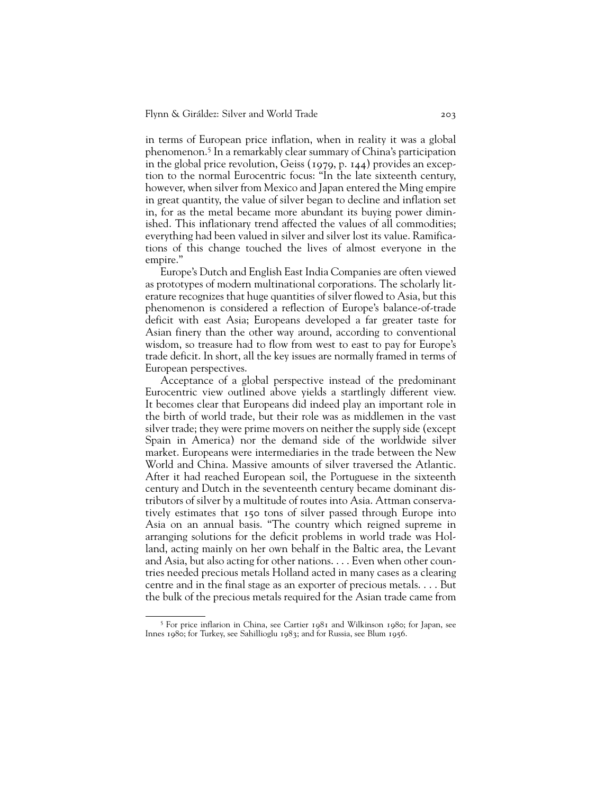in terms of European price inflation, when in reality it was a global phenomenon.5 In a remarkably clear summary of China's participation in the global price revolution, Geiss (1979, p. 144) provides an exception to the normal Eurocentric focus: "In the late sixteenth century, however, when silver from Mexico and Japan entered the Ming empire in great quantity, the value of silver began to decline and inflation set in, for as the metal became more abundant its buying power diminished. This inflationary trend affected the values of all commodities; everything had been valued in silver and silver lost its value. Ramifications of this change touched the lives of almost everyone in the empire."

Europe's Dutch and English East India Companies are often viewed as prototypes of modern multinational corporations. The scholarly literature recognizes that huge quantities of silver flowed to Asia, but this phenomenon is considered a reflection of Europe's balance-of-trade deficit with east Asia; Europeans developed a far greater taste for Asian finery than the other way around, according to conventional wisdom, so treasure had to flow from west to east to pay for Europe's trade deficit. In short, all the key issues are normally framed in terms of European perspectives.

Acceptance of a global perspective instead of the predominant Eurocentric view outlined above yields a startlingly different view. It becomes clear that Europeans did indeed play an important role in the birth of world trade, but their role was as middlemen in the vast silver trade; they were prime movers on neither the supply side (except Spain in America) nor the demand side of the worldwide silver market. Europeans were intermediaries in the trade between the New World and China. Massive amounts of silver traversed the Atlantic. After it had reached European soil, the Portuguese in the sixteenth century and Dutch in the seventeenth century became dominant distributors of silver by a multitude of routes into Asia. Attman conservatively estimates that 150 tons of silver passed through Europe into Asia on an annual basis. "The country which reigned supreme in arranging solutions for the deficit problems in world trade was Holland, acting mainly on her own behalf in the Baltic area, the Levant and Asia, but also acting for other nations. . . . Even when other countries needed precious metals Holland acted in many cases as a clearing centre and in the final stage as an exporter of precious metals. . . . But the bulk of the precious metals required for the Asian trade came from

<sup>5</sup> For price inflarion in China, see Cartier 1981 and Wilkinson 1980; for Japan, see Innes 1980; for Turkey, see Sahillioglu 1983; and for Russia, see Blum 1956.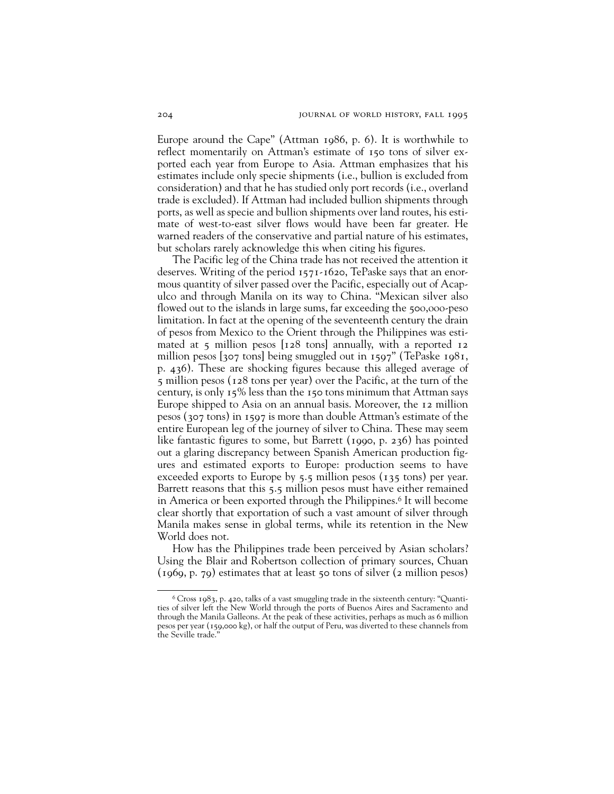Europe around the Cape" (Attman 1986, p. 6). It is worthwhile to reflect momentarily on Attman's estimate of 150 tons of silver exported each year from Europe to Asia. Attman emphasizes that his estimates include only specie shipments (i.e., bullion is excluded from consideration) and that he has studied only port records (i.e., overland trade is excluded). If Attman had included bullion shipments through ports, as well as specie and bullion shipments over land routes, his estimate of west-to-east silver flows would have been far greater. He warned readers of the conservative and partial nature of his estimates, but scholars rarely acknowledge this when citing his figures.

The Pacific leg of the China trade has not received the attention it deserves. Writing of the period 1571-1620, TePaske says that an enormous quantity of silver passed over the Pacific, especially out of Acapulco and through Manila on its way to China. "Mexican silver also flowed out to the islands in large sums, far exceeding the 50o,ooo-peso limitation. In fact at the opening of the seventeenth century the drain of pesos from Mexico to the Orient through the Philippines was estimated at 5 million pesos [128 tons] annually, with a reported 12 million pesos [307 tons] being smuggled out in 1597" (TePaske 1981, p. 436). These are shocking figures because this alleged average of 5 million pesos (128 tons per year) over the Pacific, at the turn of the century, is only 15% less than the 150 tons minimum that Attman says Europe shipped to Asia on an annual basis. Moreover, the 12 million pesos (307 tons) in 1597 is more than double Attman's estimate of the entire European leg of the journey of silver to China. These may seem like fantastic figures to some, but Barrett (1990, p. 236) has pointed out a glaring discrepancy between Spanish American production figures and estimated exports to Europe: production seems to have exceeded exports to Europe by 5.5 million pesos (135 tons) per year. Barrett reasons that this 5.5 million pesos must have either remained in America or been exported through the Philippines.<sup>6</sup> It will become clear shortly that exportation of such a vast amount of silver through Manila makes sense in global terms, while its retention in the New World does not.

How has the Philippines trade been perceived by Asian scholars? Using the Blair and Robertson collection of primary sources, Chuan (1969, p. 79) estimates that at least 50 tons of silver (2 million pesos)

 $6$  Cross 1983, p. 420, talks of a vast smuggling trade in the sixteenth century: "Quantities of silver left the New World through the ports of Buenos Aires and Sacramento and through the Manila Galleons. At the peak of these activities, perhaps as much as 6 million pesos per year (159,000 kg), or half the output of Peru, was diverted to these channels from the Seville trade."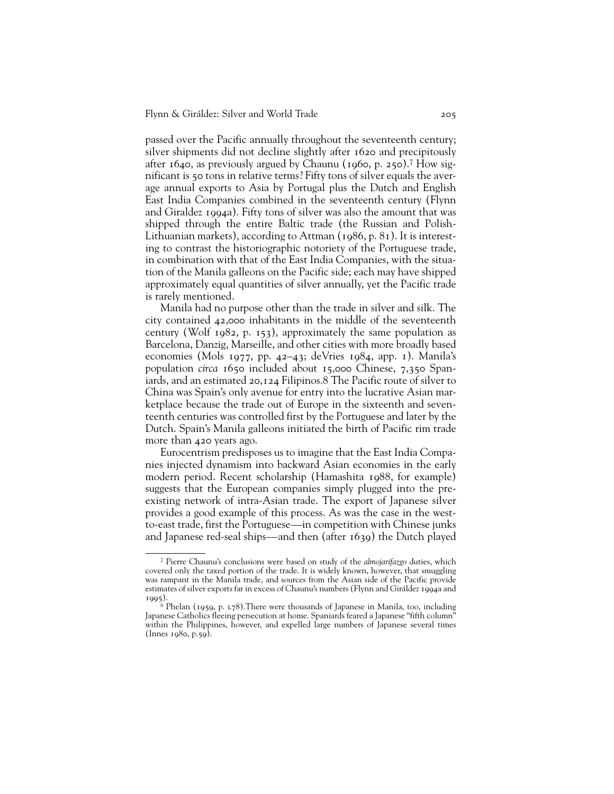passed over the Pacific annually throughout the seventeenth century; silver shipments did not decline slightly after 1620 and precipitously after 1640, as previously argued by Chaunu (1960, p. 250).7 How significant is 50 tons in relative terms? Fifty tons of silver equals the average annual exports to Asia by Portugal plus the Dutch and English East India Companies combined in the seventeenth century (Flynn and Giraldez 1994a). Fifty tons of silver was also the amount that was shipped through the entire Baltic trade (the Russian and Polish-Lithuanian markets), according to Attman (1986, p. 81). It is interesting to contrast the historiographic notoriety of the Portuguese trade, in combination with that of the East India Companies, with the situation of the Manila galleons on the Pacific side; each may have shipped approximately equal quantities of silver annually, yet the Pacific trade is rarely mentioned.

Manila had no purpose other than the trade in silver and silk. The city contained 42,000 inhabitants in the middle of the seventeenth century (Wolf 1982, p. 153), approximately the same population as Barcelona, Danzig, Marseille, and other cities with more broadly based economies (Mols 1977, pp. 42–43; deVries 1984, app. 1). Manila's population *circa* 1650 included about 15,000 Chinese, 7,350 Spaniards, and an estimated 20,124 Filipinos.8 The Pacific route of silver to China was Spain's only avenue for entry into the lucrative Asian marketplace because the trade out of Europe in the sixteenth and seventeenth centuries was controlled first by the Portuguese and later by the Dutch. Spain's Manila galleons initiated the birth of Pacific rim trade more than 420 years ago.

Eurocentrism predisposes us to imagine that the East India Companies injected dynamism into backward Asian economies in the early modern period. Recent scholarship (Hamashita 1988, for example) suggests that the European companies simply plugged into the preexisting network of intra-Asian trade. The export of Japanese silver provides a good example of this process. As was the case in the westto-east trade, first the Portuguese—in competition with Chinese junks and Japanese red-seal ships—and then (after 1639) the Dutch played

<sup>7</sup> Pierre Chaunu's conclusions were based on study of the *almojarifazgo* duties, which covered only the taxed portion of the trade. It is widely known, however, that smuggling was rampant in the Manila trade, and sources from the Asian side of the Pacific provide estimates of silver exports far in excess of Chaunu's numbers (Flynn and Giráldez 1994a and 1995).

<sup>8</sup> Phelan (1959, p. l78).There were thousands of Japanese in Manila, too, including Japanese Catholics fleeing persecution at home. Spaniards feared a Japanese "fifth column" within the Philippines, however, and expelled large numbers of Japanese several times (Innes 1980, p.59).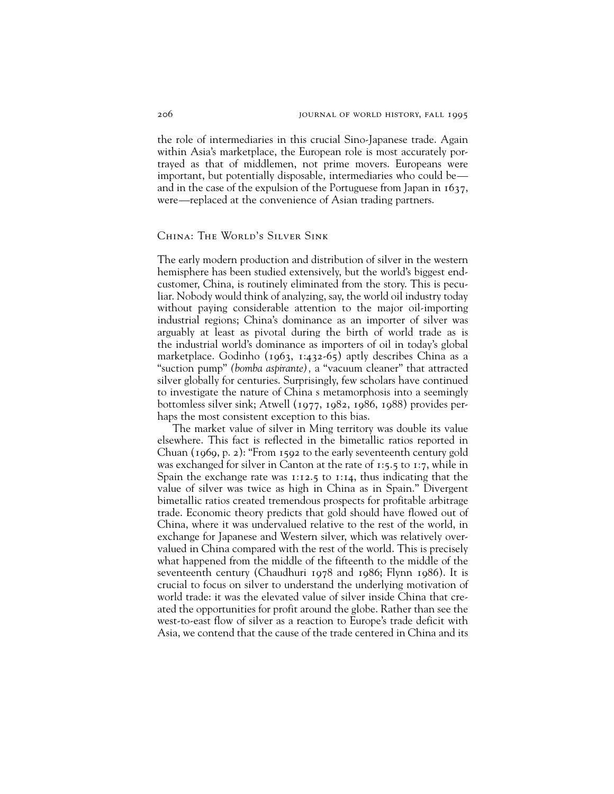the role of intermediaries in this crucial Sino-Japanese trade. Again within Asia's marketplace, the European role is most accurately portrayed as that of middlemen, not prime movers. Europeans were important, but potentially disposable, intermediaries who could be and in the case of the expulsion of the Portuguese from Japan in 1637, were—replaced at the convenience of Asian trading partners.

### CHINA: THE WORLD'S SILVER SINK

The early modern production and distribution of silver in the western hemisphere has been studied extensively, but the world's biggest endcustomer, China, is routinely eliminated from the story. This is peculiar. Nobody would think of analyzing, say, the world oil industry today without paying considerable attention to the major oil-importing industrial regions; China's dominance as an importer of silver was arguably at least as pivotal during the birth of world trade as is the industrial world's dominance as importers of oil in today's global marketplace. Godinho (1963, 1:432-65) aptly describes China as a "suction pump" *(bomba aspirante),* a "vacuum cleaner" that attracted silver globally for centuries. Surprisingly, few scholars have continued to investigate the nature of China s metamorphosis into a seemingly bottomless silver sink; Atwell (1977, 1982, 1986, 1988) provides perhaps the most consistent exception to this bias.

The market value of silver in Ming territory was double its value elsewhere. This fact is reflected in the bimetallic ratios reported in Chuan (1969, p. 2): "From 1592 to the early seventeenth century gold was exchanged for silver in Canton at the rate of 1:5.5 to 1:7, while in Spain the exchange rate was  $1:12.5$  to  $1:14$ , thus indicating that the value of silver was twice as high in China as in Spain." Divergent bimetallic ratios created tremendous prospects for profitable arbitrage trade. Economic theory predicts that gold should have flowed out of China, where it was undervalued relative to the rest of the world, in exchange for Japanese and Western silver, which was relatively overvalued in China compared with the rest of the world. This is precisely what happened from the middle of the fifteenth to the middle of the seventeenth century (Chaudhuri 1978 and 1986; Flynn 1986). It is crucial to focus on silver to understand the underlying motivation of world trade: it was the elevated value of silver inside China that created the opportunities for profit around the globe. Rather than see the west-to-east flow of silver as a reaction to Europe's trade deficit with Asia, we contend that the cause of the trade centered in China and its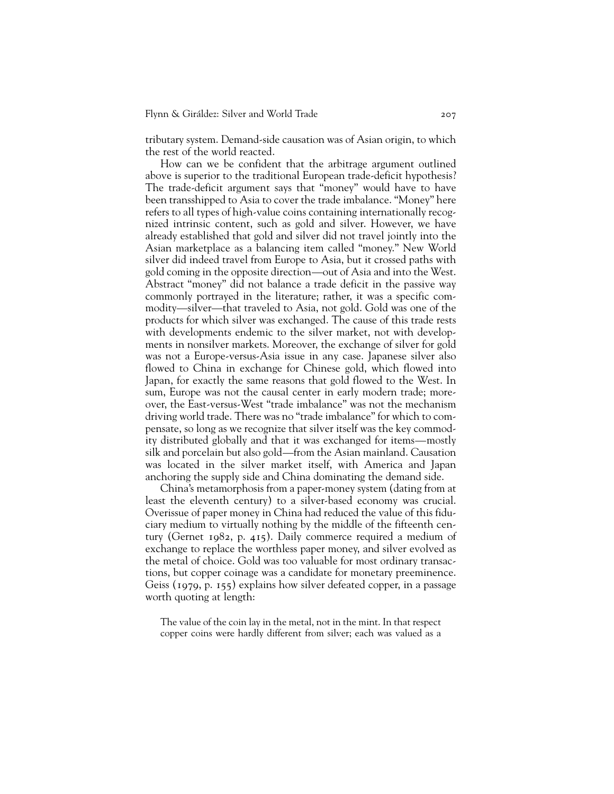tributary system. Demand-side causation was of Asian origin, to which the rest of the world reacted.

How can we be confident that the arbitrage argument outlined above is superior to the traditional European trade-deficit hypothesis? The trade-deficit argument says that "money" would have to have been transshipped to Asia to cover the trade imbalance. "Money" here refers to all types of high-value coins containing internationally recognized intrinsic content, such as gold and silver. However, we have already established that gold and silver did not travel jointly into the Asian marketplace as a balancing item called "money." New World silver did indeed travel from Europe to Asia, but it crossed paths with gold coming in the opposite direction—out of Asia and into the West. Abstract "money" did not balance a trade deficit in the passive way commonly portrayed in the literature; rather, it was a specific commodity—silver—that traveled to Asia, not gold. Gold was one of the products for which silver was exchanged. The cause of this trade rests with developments endemic to the silver market, not with developments in nonsilver markets. Moreover, the exchange of silver for gold was not a Europe-versus-Asia issue in any case. Japanese silver also flowed to China in exchange for Chinese gold, which flowed into Japan, for exactly the same reasons that gold flowed to the West. In sum, Europe was not the causal center in early modern trade; moreover, the East-versus-West "trade imbalance" was not the mechanism driving world trade. There was no "trade imbalance" for which to compensate, so long as we recognize that silver itself was the key commodity distributed globally and that it was exchanged for items—mostly silk and porcelain but also gold—from the Asian mainland. Causation was located in the silver market itself, with America and Japan anchoring the supply side and China dominating the demand side.

China's metamorphosis from a paper-money system (dating from at least the eleventh century) to a silver-based economy was crucial. Overissue of paper money in China had reduced the value of this fiduciary medium to virtually nothing by the middle of the fifteenth century (Gernet 1982, p. 415). Daily commerce required a medium of exchange to replace the worthless paper money, and silver evolved as the metal of choice. Gold was too valuable for most ordinary transactions, but copper coinage was a candidate for monetary preeminence. Geiss (1979, p. 155) explains how silver defeated copper, in a passage worth quoting at length:

The value of the coin lay in the metal, not in the mint. In that respect copper coins were hardly different from silver; each was valued as a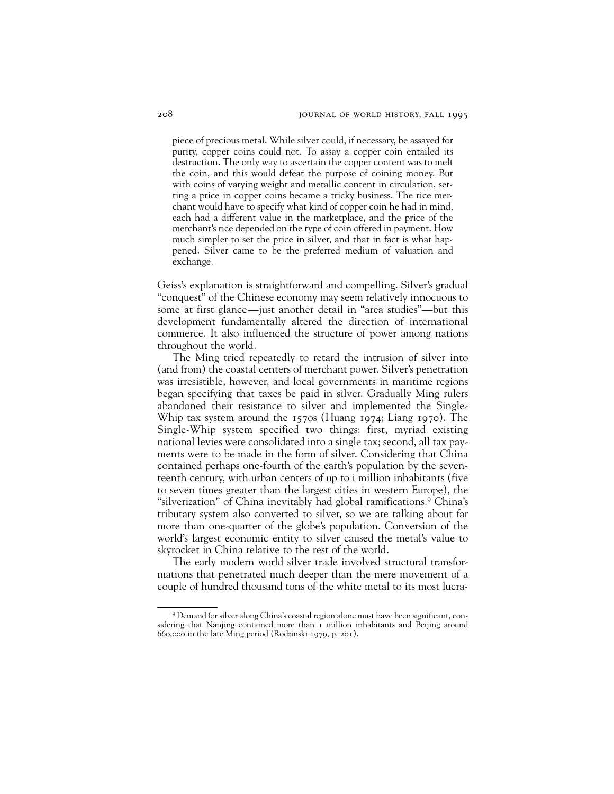piece of precious metal. While silver could, if necessary, be assayed for purity, copper coins could not. To assay a copper coin entailed its destruction. The only way to ascertain the copper content was to melt the coin, and this would defeat the purpose of coining money. But with coins of varying weight and metallic content in circulation, setting a price in copper coins became a tricky business. The rice merchant would have to specify what kind of copper coin he had in mind, each had a different value in the marketplace, and the price of the merchant's rice depended on the type of coin offered in payment. How much simpler to set the price in silver, and that in fact is what happened. Silver came to be the preferred medium of valuation and exchange.

Geiss's explanation is straightforward and compelling. Silver's gradual "conquest" of the Chinese economy may seem relatively innocuous to some at first glance—just another detail in "area studies"—but this development fundamentally altered the direction of international commerce. It also influenced the structure of power among nations throughout the world.

The Ming tried repeatedly to retard the intrusion of silver into (and from) the coastal centers of merchant power. Silver's penetration was irresistible, however, and local governments in maritime regions began specifying that taxes be paid in silver. Gradually Ming rulers abandoned their resistance to silver and implemented the Single-Whip tax system around the 157os (Huang 1974; Liang 1970). The Single-Whip system specified two things: first, myriad existing national levies were consolidated into a single tax; second, all tax payments were to be made in the form of silver. Considering that China contained perhaps one-fourth of the earth's population by the seventeenth century, with urban centers of up to i million inhabitants (five to seven times greater than the largest cities in western Europe), the "silverization" of China inevitably had global ramifications.9 China's tributary system also converted to silver, so we are talking about far more than one-quarter of the globe's population. Conversion of the world's largest economic entity to silver caused the metal's value to skyrocket in China relative to the rest of the world.

The early modern world silver trade involved structural transformations that penetrated much deeper than the mere movement of a couple of hundred thousand tons of the white metal to its most lucra-

<sup>9</sup> Demand for silver along China's coastal region alone must have been significant, considering that Nanjing contained more than 1 million inhabitants and Beijing around 660,000 in the late Ming period (Rodzinski 1979, p. 201).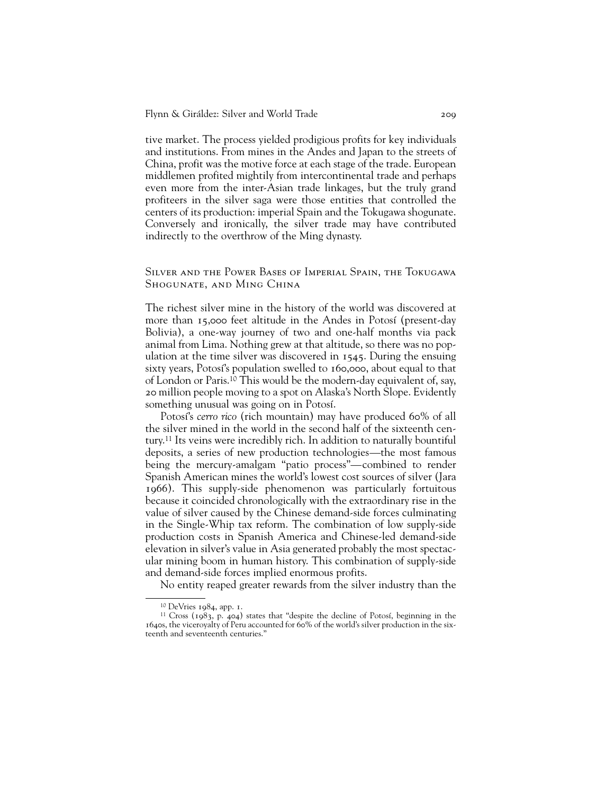tive market. The process yielded prodigious profits for key individuals and institutions. From mines in the Andes and Japan to the streets of China, profit was the motive force at each stage of the trade. European middlemen profited mightily from intercontinental trade and perhaps even more from the inter-Asian trade linkages, but the truly grand profiteers in the silver saga were those entities that controlled the centers of its production: imperial Spain and the Tokugawa shogunate. Conversely and ironically, the silver trade may have contributed indirectly to the overthrow of the Ming dynasty.

# Silver and the Power Bases of Imperial Spain, the Tokugawa Shogunate, and Ming China

The richest silver mine in the history of the world was discovered at more than 15,000 feet altitude in the Andes in Potosí (present-day Bolivia), a one-way journey of two and one-half months via pack animal from Lima. Nothing grew at that altitude, so there was no population at the time silver was discovered in 1545. During the ensuing sixty years, Potosí's population swelled to 160,000, about equal to that of London or Paris.10 This would be the modern-day equivalent of, say, 20 million people moving to a spot on Alaska's North Slope. Evidently something unusual was going on in Potosí.

Potosí's *cerro rico* (rich mountain) may have produced 60% of all the silver mined in the world in the second half of the sixteenth century.11 Its veins were incredibly rich. In addition to naturally bountiful deposits, a series of new production technologies—the most famous being the mercury-amalgam "patio process"—combined to render Spanish American mines the world's lowest cost sources of silver (Jara 1966). This supply-side phenomenon was particularly fortuitous because it coincided chronologically with the extraordinary rise in the value of silver caused by the Chinese demand-side forces culminating in the Single-Whip tax reform. The combination of low supply-side production costs in Spanish America and Chinese-led demand-side elevation in silver's value in Asia generated probably the most spectacular mining boom in human history. This combination of supply-side and demand-side forces implied enormous profits.

No entity reaped greater rewards from the silver industry than the

<sup>10</sup> DeVries 1984, app. 1.

<sup>11</sup> Cross (1983, p. 404) states that "despite the decline of Potosí, beginning in the 1640s, the viceroyalty of Peru accounted for 60% of the world's silver production in the sixteenth and seventeenth centuries."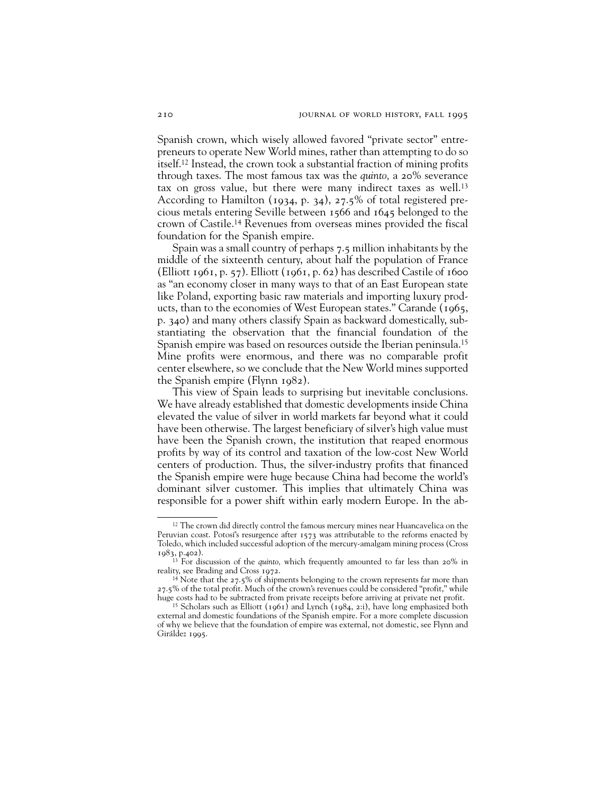Spanish crown, which wisely allowed favored "private sector" entrepreneurs to operate New World mines, rather than attempting to do so itself.12 Instead, the crown took a substantial fraction of mining profits through taxes. The most famous tax was the *quinto,* a 20% severance tax on gross value, but there were many indirect taxes as well.13 According to Hamilton (1934, p. 34), 27.5% of total registered precious metals entering Seville between 1566 and 1645 belonged to the crown of Castile.14 Revenues from overseas mines provided the fiscal foundation for the Spanish empire.

Spain was a small country of perhaps 7.5 million inhabitants by the middle of the sixteenth century, about half the population of France (Elliott 1961, p. 57). Elliott (1961, p. 62) has described Castile of 1600 as "an economy closer in many ways to that of an East European state like Poland, exporting basic raw materials and importing luxury products, than to the economies of West European states." Carande (1965, p. 340) and many others classify Spain as backward domestically, substantiating the observation that the financial foundation of the Spanish empire was based on resources outside the Iberian peninsula.15 Mine profits were enormous, and there was no comparable profit center elsewhere, so we conclude that the New World mines supported the Spanish empire (Flynn 1982).

This view of Spain leads to surprising but inevitable conclusions. We have already established that domestic developments inside China elevated the value of silver in world markets far beyond what it could have been otherwise. The largest beneficiary of silver's high value must have been the Spanish crown, the institution that reaped enormous profits by way of its control and taxation of the low-cost New World centers of production. Thus, the silver-industry profits that financed the Spanish empire were huge because China had become the world's dominant silver customer. This implies that ultimately China was responsible for a power shift within early modern Europe. In the ab-

<sup>&</sup>lt;sup>12</sup> The crown did directly control the famous mercury mines near Huancavelica on the Peruvian coast. Potosí's resurgence after 1573 was attributable to the reforms enacted by Toledo, which included successful adoption of the mercury-amalgam mining process (Cross 1983, p.402).

<sup>&</sup>lt;sup>3</sup> For discussion of the *quinto*, which frequently amounted to far less than 20% in reality, see Brading and Cross 1972.

<sup>14</sup> Note that the 27.5% of shipments belonging to the crown represents far more than 27.5% of the total profit. Much of the crown's revenues could be considered "profit," while huge costs had to be subtracted from private receipts before arriving at private net profit.

<sup>15</sup> Scholars such as Elliott (1961) and Lynch (1984, 2:i), have long emphasized both external and domestic foundations of the Spanish empire. For a more complete discussion of why we believe that the foundation of empire was external, not domestic, see Flynn and Giráldez 1995.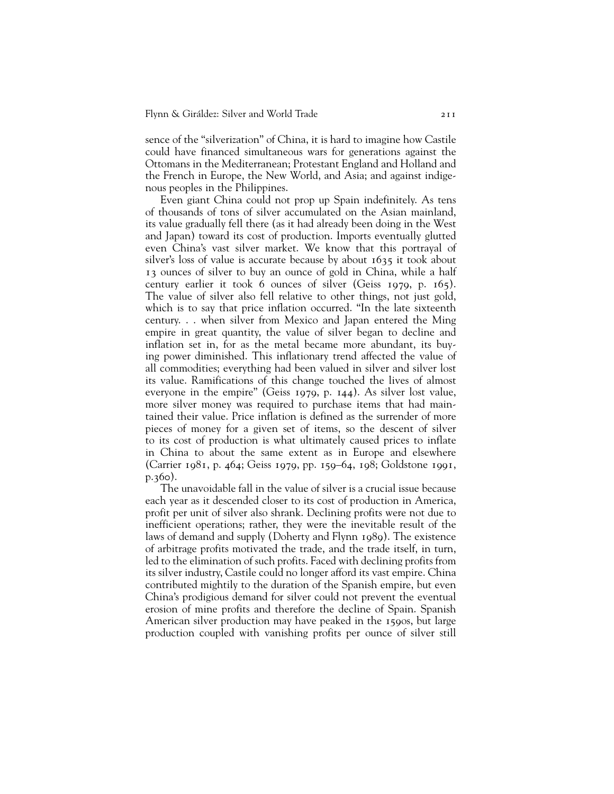sence of the "silverization" of China, it is hard to imagine how Castile could have financed simultaneous wars for generations against the Ottomans in the Mediterranean; Protestant England and Holland and the French in Europe, the New World, and Asia; and against indigenous peoples in the Philippines.

Even giant China could not prop up Spain indefinitely. As tens of thousands of tons of silver accumulated on the Asian mainland, its value gradually fell there (as it had already been doing in the West and Japan) toward its cost of production. Imports eventually glutted even China's vast silver market. We know that this portrayal of silver's loss of value is accurate because by about 1635 it took about 13 ounces of silver to buy an ounce of gold in China, while a half century earlier it took 6 ounces of silver (Geiss 1979, p. 165). The value of silver also fell relative to other things, not just gold, which is to say that price inflation occurred. "In the late sixteenth century. . . when silver from Mexico and Japan entered the Ming empire in great quantity, the value of silver began to decline and inflation set in, for as the metal became more abundant, its buying power diminished. This inflationary trend affected the value of all commodities; everything had been valued in silver and silver lost its value. Ramifications of this change touched the lives of almost everyone in the empire" (Geiss 1979, p. 144). As silver lost value, more silver money was required to purchase items that had maintained their value. Price inflation is defined as the surrender of more pieces of money for a given set of items, so the descent of silver to its cost of production is what ultimately caused prices to inflate in China to about the same extent as in Europe and elsewhere (Carrier 1981, p. 464; Geiss 1979, pp. 159–64, 198; Goldstone 1991, p.360).

The unavoidable fall in the value of silver is a crucial issue because each year as it descended closer to its cost of production in America, profit per unit of silver also shrank. Declining profits were not due to inefficient operations; rather, they were the inevitable result of the laws of demand and supply (Doherty and Flynn 1989). The existence of arbitrage profits motivated the trade, and the trade itself, in turn, led to the elimination of such profits. Faced with declining profits from its silver industry, Castile could no longer afford its vast empire. China contributed mightily to the duration of the Spanish empire, but even China's prodigious demand for silver could not prevent the eventual erosion of mine profits and therefore the decline of Spain. Spanish American silver production may have peaked in the 159os, but large production coupled with vanishing profits per ounce of silver still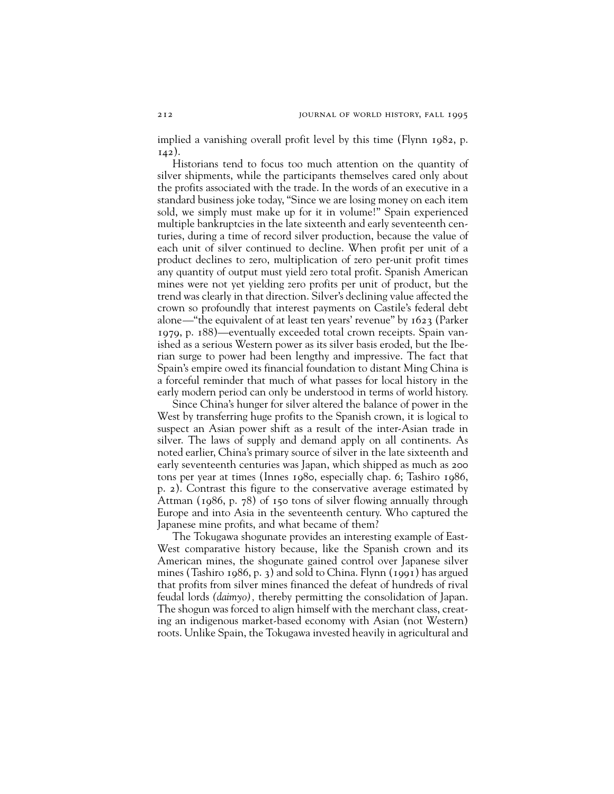implied a vanishing overall profit level by this time (Flynn 1982, p. 142).

Historians tend to focus too much attention on the quantity of silver shipments, while the participants themselves cared only about the profits associated with the trade. In the words of an executive in a standard business joke today, "Since we are losing money on each item sold, we simply must make up for it in volume!" Spain experienced multiple bankruptcies in the late sixteenth and early seventeenth centuries, during a time of record silver production, because the value of each unit of silver continued to decline. When profit per unit of a product declines to zero, multiplication of zero per-unit profit times any quantity of output must yield zero total profit. Spanish American mines were not yet yielding zero profits per unit of product, but the trend was clearly in that direction. Silver's declining value affected the crown so profoundly that interest payments on Castile's federal debt alone—"the equivalent of at least ten years' revenue" by 1623 (Parker 1979, p. 188)—eventually exceeded total crown receipts. Spain vanished as a serious Western power as its silver basis eroded, but the Iberian surge to power had been lengthy and impressive. The fact that Spain's empire owed its financial foundation to distant Ming China is a forceful reminder that much of what passes for local history in the early modern period can only be understood in terms of world history.

Since China's hunger for silver altered the balance of power in the West by transferring huge profits to the Spanish crown, it is logical to suspect an Asian power shift as a result of the inter-Asian trade in silver. The laws of supply and demand apply on all continents. As noted earlier, China's primary source of silver in the late sixteenth and early seventeenth centuries was Japan, which shipped as much as 200 tons per year at times (Innes 1980, especially chap. 6; Tashiro 1986, p. 2). Contrast this figure to the conservative average estimated by Attman (1986, p. 78) of 150 tons of silver flowing annually through Europe and into Asia in the seventeenth century. Who captured the Japanese mine profits, and what became of them?

The Tokugawa shogunate provides an interesting example of East-West comparative history because, like the Spanish crown and its American mines, the shogunate gained control over Japanese silver mines (Tashiro 1986, p. 3) and sold to China. Flynn (1991) has argued that profits from silver mines financed the defeat of hundreds of rival feudal lords *(daimyo),* thereby permitting the consolidation of Japan. The shogun was forced to align himself with the merchant class, creating an indigenous market-based economy with Asian (not Western) roots. Unlike Spain, the Tokugawa invested heavily in agricultural and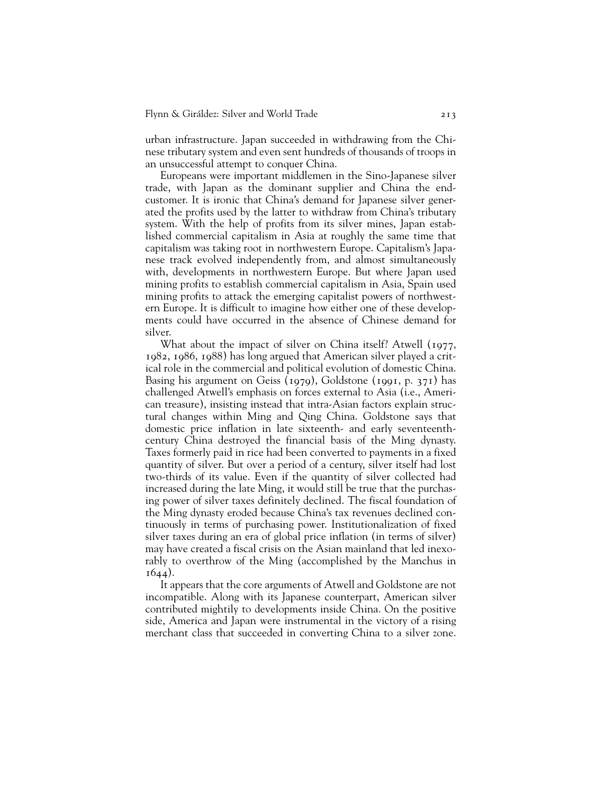urban infrastructure. Japan succeeded in withdrawing from the Chinese tributary system and even sent hundreds of thousands of troops in an unsuccessful attempt to conquer China.

Europeans were important middlemen in the Sino-Japanese silver trade, with Japan as the dominant supplier and China the endcustomer. It is ironic that China's demand for Japanese silver generated the profits used by the latter to withdraw from China's tributary system. With the help of profits from its silver mines, Japan established commercial capitalism in Asia at roughly the same time that capitalism was taking root in northwestern Europe. Capitalism's Japanese track evolved independently from, and almost simultaneously with, developments in northwestern Europe. But where Japan used mining profits to establish commercial capitalism in Asia, Spain used mining profits to attack the emerging capitalist powers of northwestern Europe. It is difficult to imagine how either one of these developments could have occurred in the absence of Chinese demand for silver.

What about the impact of silver on China itself? Atwell (1977, 1982, 1986, 1988) has long argued that American silver played a critical role in the commercial and political evolution of domestic China. Basing his argument on Geiss (1979), Goldstone (1991, p. 371) has challenged Atwell's emphasis on forces external to Asia (i.e., American treasure), insisting instead that intra-Asian factors explain structural changes within Ming and Qing China. Goldstone says that domestic price inflation in late sixteenth- and early seventeenthcentury China destroyed the financial basis of the Ming dynasty. Taxes formerly paid in rice had been converted to payments in a fixed quantity of silver. But over a period of a century, silver itself had lost two-thirds of its value. Even if the quantity of silver collected had increased during the late Ming, it would still be true that the purchasing power of silver taxes definitely declined. The fiscal foundation of the Ming dynasty eroded because China's tax revenues declined continuously in terms of purchasing power. Institutionalization of fixed silver taxes during an era of global price inflation (in terms of silver) may have created a fiscal crisis on the Asian mainland that led inexorably to overthrow of the Ming (accomplished by the Manchus in 1644).

It appears that the core arguments of Atwell and Goldstone are not incompatible. Along with its Japanese counterpart, American silver contributed mightily to developments inside China. On the positive side, America and Japan were instrumental in the victory of a rising merchant class that succeeded in converting China to a silver zone.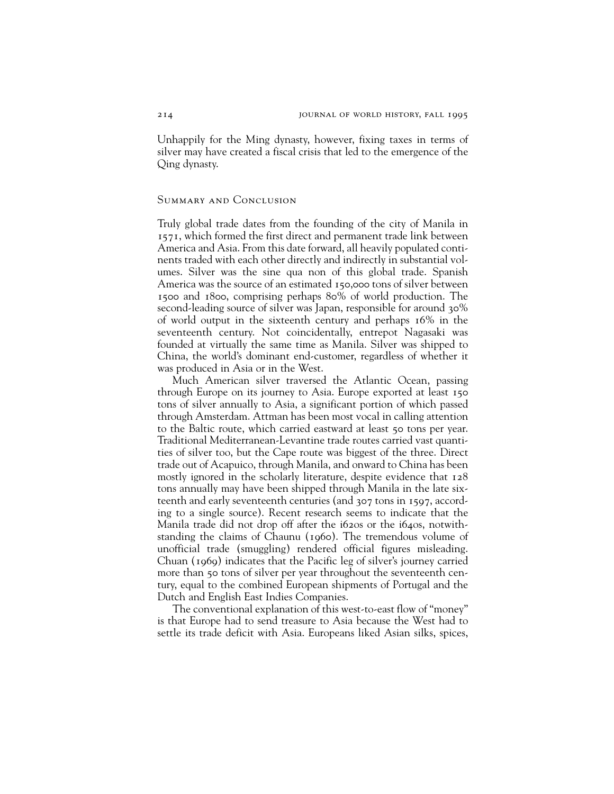Unhappily for the Ming dynasty, however, fixing taxes in terms of silver may have created a fiscal crisis that led to the emergence of the Qing dynasty.

## Summary and Conclusion

Truly global trade dates from the founding of the city of Manila in 1571, which formed the first direct and permanent trade link between America and Asia. From this date forward, all heavily populated continents traded with each other directly and indirectly in substantial volumes. Silver was the sine qua non of this global trade. Spanish America was the source of an estimated 150,000 tons of silver between 1500 and 1800, comprising perhaps 80% of world production. The second-leading source of silver was Japan, responsible for around 30% of world output in the sixteenth century and perhaps 16% in the seventeenth century. Not coincidentally, entrepot Nagasaki was founded at virtually the same time as Manila. Silver was shipped to China, the world's dominant end-customer, regardless of whether it was produced in Asia or in the West.

Much American silver traversed the Atlantic Ocean, passing through Europe on its journey to Asia. Europe exported at least 150 tons of silver annually to Asia, a significant portion of which passed through Amsterdam. Attman has been most vocal in calling attention to the Baltic route, which carried eastward at least 50 tons per year. Traditional Mediterranean-Levantine trade routes carried vast quantities of silver too, but the Cape route was biggest of the three. Direct trade out of Acapuico, through Manila, and onward to China has been mostly ignored in the scholarly literature, despite evidence that 128 tons annually may have been shipped through Manila in the late sixteenth and early seventeenth centuries (and 307 tons in 1597, according to a single source). Recent research seems to indicate that the Manila trade did not drop off after the i62os or the i64os, notwithstanding the claims of Chaunu (1960). The tremendous volume of unofficial trade (smuggling) rendered official figures misleading. Chuan (1969) indicates that the Pacific leg of silver's journey carried more than 50 tons of silver per year throughout the seventeenth century, equal to the combined European shipments of Portugal and the Dutch and English East Indies Companies.

The conventional explanation of this west-to-east flow of "money" is that Europe had to send treasure to Asia because the West had to settle its trade deficit with Asia. Europeans liked Asian silks, spices,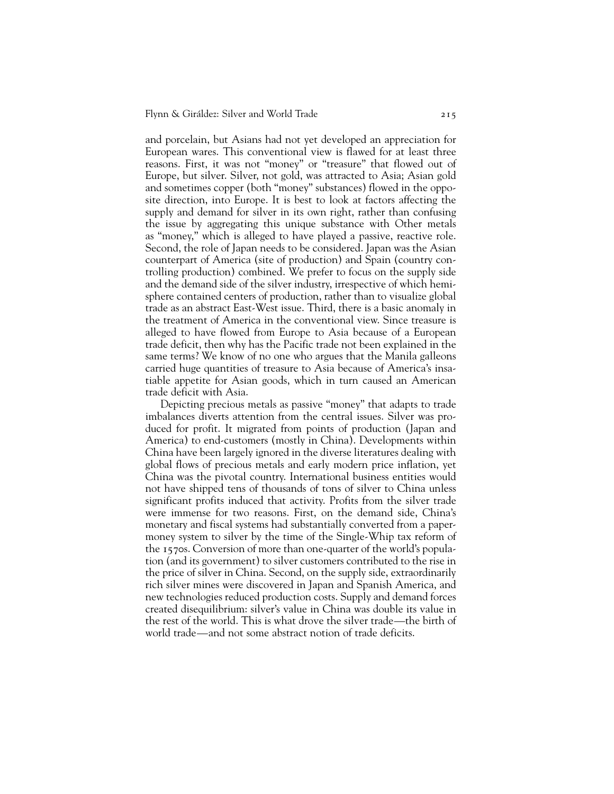and porcelain, but Asians had not yet developed an appreciation for European wares. This conventional view is flawed for at least three reasons. First, it was not "money" or "treasure" that flowed out of Europe, but silver. Silver, not gold, was attracted to Asia; Asian gold and sometimes copper (both "money" substances) flowed in the opposite direction, into Europe. It is best to look at factors affecting the supply and demand for silver in its own right, rather than confusing the issue by aggregating this unique substance with Other metals as "money," which is alleged to have played a passive, reactive role. Second, the role of Japan needs to be considered. Japan was the Asian counterpart of America (site of production) and Spain (country controlling production) combined. We prefer to focus on the supply side and the demand side of the silver industry, irrespective of which hemisphere contained centers of production, rather than to visualize global trade as an abstract East-West issue. Third, there is a basic anomaly in the treatment of America in the conventional view. Since treasure is alleged to have flowed from Europe to Asia because of a European trade deficit, then why has the Pacific trade not been explained in the same terms? We know of no one who argues that the Manila galleons carried huge quantities of treasure to Asia because of America's insatiable appetite for Asian goods, which in turn caused an American trade deficit with Asia.

Depicting precious metals as passive "money" that adapts to trade imbalances diverts attention from the central issues. Silver was produced for profit. It migrated from points of production (Japan and America) to end-customers (mostly in China). Developments within China have been largely ignored in the diverse literatures dealing with global flows of precious metals and early modern price inflation, yet China was the pivotal country. International business entities would not have shipped tens of thousands of tons of silver to China unless significant profits induced that activity. Profits from the silver trade were immense for two reasons. First, on the demand side, China's monetary and fiscal systems had substantially converted from a papermoney system to silver by the time of the Single-Whip tax reform of the 1570s. Conversion of more than one-quarter of the world's population (and its government) to silver customers contributed to the rise in the price of silver in China. Second, on the supply side, extraordinarily rich silver mines were discovered in Japan and Spanish America, and new technologies reduced production costs. Supply and demand forces created disequilibrium: silver's value in China was double its value in the rest of the world. This is what drove the silver trade—the birth of world trade—and not some abstract notion of trade deficits.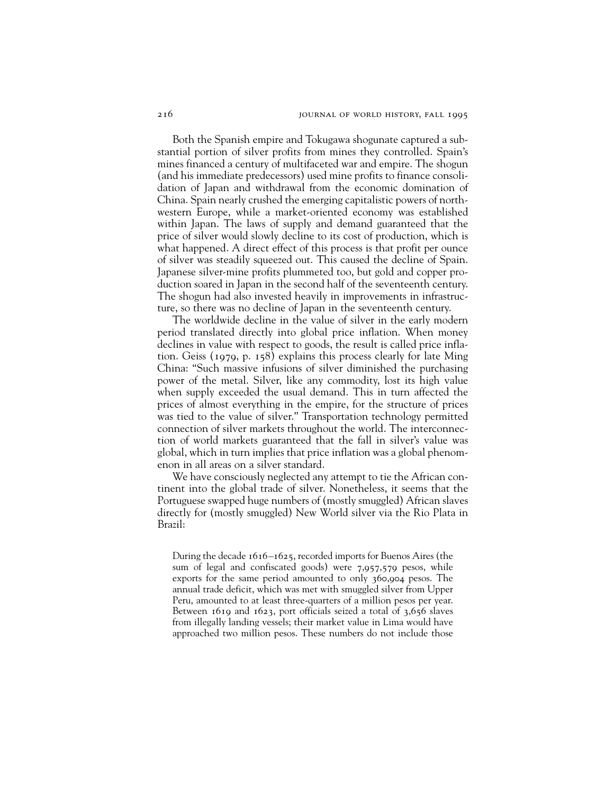Both the Spanish empire and Tokugawa shogunate captured a substantial portion of silver profits from mines they controlled. Spain's mines financed a century of multifaceted war and empire. The shogun (and his immediate predecessors) used mine profits to finance consolidation of Japan and withdrawal from the economic domination of China. Spain nearly crushed the emerging capitalistic powers of northwestern Europe, while a market-oriented economy was established within Japan. The laws of supply and demand guaranteed that the price of silver would slowly decline to its cost of production, which is what happened. A direct effect of this process is that profit per ounce of silver was steadily squeezed out. This caused the decline of Spain. Japanese silver-mine profits plummeted too, but gold and copper production soared in Japan in the second half of the seventeenth century. The shogun had also invested heavily in improvements in infrastructure, so there was no decline of Japan in the seventeenth century.

The worldwide decline in the value of silver in the early modern period translated directly into global price inflation. When money declines in value with respect to goods, the result is called price inflation. Geiss (1979, p. 158) explains this process clearly for late Ming China: "Such massive infusions of silver diminished the purchasing power of the metal. Silver, like any commodity, lost its high value when supply exceeded the usual demand. This in turn affected the prices of almost everything in the empire, for the structure of prices was tied to the value of silver." Transportation technology permitted connection of silver markets throughout the world. The interconnection of world markets guaranteed that the fall in silver's value was global, which in turn implies that price inflation was a global phenomenon in all areas on a silver standard.

We have consciously neglected any attempt to tie the African continent into the global trade of silver. Nonetheless, it seems that the Portuguese swapped huge numbers of (mostly smuggled) African slaves directly for (mostly smuggled) New World silver via the Rio Plata in Brazil:

During the decade 1616–1625, recorded imports for Buenos Aires (the sum of legal and confiscated goods) were 7,957,579 pesos, while exports for the same period amounted to only 360,904 pesos. The annual trade deficit, which was met with smuggled silver from Upper Peru, amounted to at least three-quarters of a million pesos per year. Between 1619 and 1623, port officials seized a total of 3,656 slaves from illegally landing vessels; their market value in Lima would have approached two million pesos. These numbers do not include those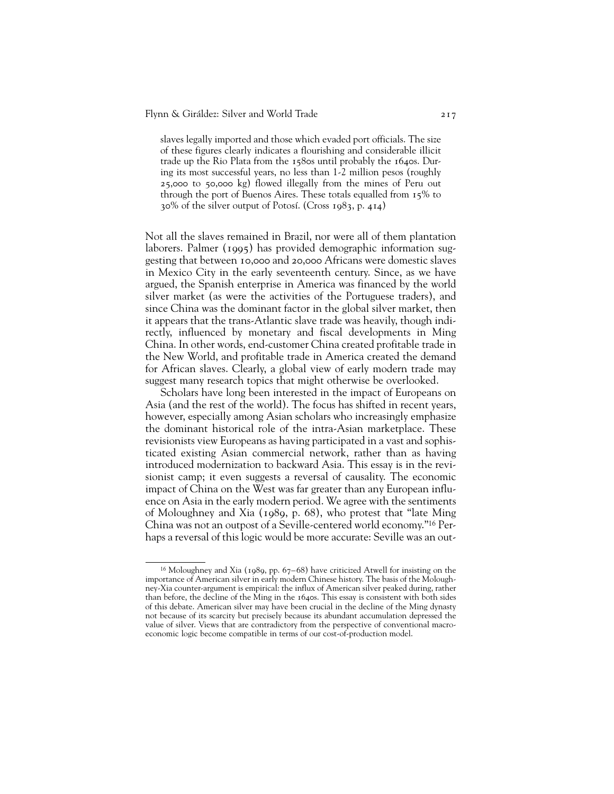slaves legally imported and those which evaded port officials. The size of these figures clearly indicates a flourishing and considerable illicit trade up the Rio Plata from the 1580s until probably the 1640s. During its most successful years, no less than 1-2 million pesos (roughly 25,000 to 50,000 kg) flowed illegally from the mines of Peru out through the port of Buenos Aires. These totals equalled from 15% to 30% of the silver output of Potosí. (Cross 1983, p. 414)

Not all the slaves remained in Brazil, nor were all of them plantation laborers. Palmer (1995) has provided demographic information suggesting that between 10,000 and 20,000 Africans were domestic slaves in Mexico City in the early seventeenth century. Since, as we have argued, the Spanish enterprise in America was financed by the world silver market (as were the activities of the Portuguese traders), and since China was the dominant factor in the global silver market, then it appears that the trans-Atlantic slave trade was heavily, though indirectly, influenced by monetary and fiscal developments in Ming China. In other words, end-customer China created profitable trade in the New World, and profitable trade in America created the demand for African slaves. Clearly, a global view of early modern trade may suggest many research topics that might otherwise be overlooked.

Scholars have long been interested in the impact of Europeans on Asia (and the rest of the world). The focus has shifted in recent years, however, especially among Asian scholars who increasingly emphasize the dominant historical role of the intra-Asian marketplace. These revisionists view Europeans as having participated in a vast and sophisticated existing Asian commercial network, rather than as having introduced modernization to backward Asia. This essay is in the revisionist camp; it even suggests a reversal of causality. The economic impact of China on the West was far greater than any European influence on Asia in the early modern period. We agree with the sentiments of Moloughney and Xia (1989, p. 68), who protest that "late Ming China was not an outpost of a Seville-centered world economy."16 Perhaps a reversal of this logic would be more accurate: Seville was an out-

<sup>16</sup> Moloughney and Xia (1989, pp. 67–68) have criticized Atwell for insisting on the importance of American silver in early modern Chinese history. The basis of the Moloughney-Xia counter-argument is empirical: the influx of American silver peaked during, rather than before, the decline of the Ming in the 1640s. This essay is consistent with both sides of this debate. American silver may have been crucial in the decline of the Ming dynasty not because of its scarcity but precisely because its abundant accumulation depressed the value of silver. Views that are contradictory from the perspective of conventional macroeconomic logic become compatible in terms of our cost-of-production model.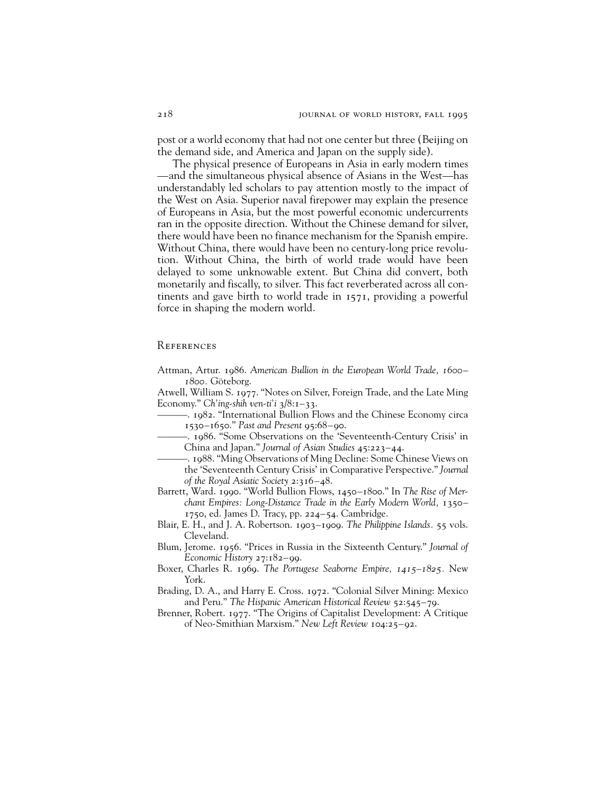post or a world economy that had not one center but three (Beijing on the demand side, and America and Japan on the supply side).

The physical presence of Europeans in Asia in early modern times —and the simultaneous physical absence of Asians in the West—has understandably led scholars to pay attention mostly to the impact of the West on Asia. Superior naval firepower may explain the presence of Europeans in Asia, but the most powerful economic undercurrents ran in the opposite direction. Without the Chinese demand for silver, there would have been no finance mechanism for the Spanish empire. Without China, there would have been no century-long price revolution. Without China, the birth of world trade would have been delayed to some unknowable extent. But China did convert, both monetarily and fiscally, to silver. This fact reverberated across all continents and gave birth to world trade in 1571, providing a powerful force in shaping the modern world.

#### **REFERENCES**

Attman, Artur. 1986. *American Bullion in the European World Trade, 1600– 1800.* Göteborg.

Atwell, William S. 1977. "Notes on Silver, Foreign Trade, and the Late Ming Economy." *Ch'ing-shih ven-ti'i* 3/8:1–33.

- ———. 1982. "International Bullion Flows and the Chinese Economy circa 1530–1650." *Past and Present* 95:68–90.
- ———. 1986. "Some Observations on the 'Seventeenth-Century Crisis' in China and Japan." *Journal of Asian Studies* 45:223–44.
- ———. 1988. "Ming Observations of Ming Decline: Some Chinese Views on the 'Seventeenth Century Crisis' in Comparative Perspective." *Journal of the Royal Asiatic Society* 2:316–48.
- Barrett, Ward. 1990. "World Bullion Flows, 1450–1800." In *The Rise of Merchant Empires: Long-Distance Trade in the Early Modern World,* 1350– 1750, ed. James D. Tracy, pp. 224–54. Cambridge.
- Blair, E. H., and J. A. Robertson. 1903–1909. *The Philippine Islands.* 55 vols. Cleveland.
- Blum, Jerome. 1956. "Prices in Russia in the Sixteenth Century." *Journal of Economic History* 27:182–99.
- Boxer, Charles R. 1969. *The Portugese Seaborne Empire, 1415–1825.* New York.
- Brading, D. A., and Harry E. Cross. 1972. "Colonial Silver Mining: Mexico and Peru." *The Hispanic American Historical Review* 52:545–79.
- Brenner, Robert. 1977. "The Origins of Capitalist Development: A Critique of Neo-Smithian Marxism." *New Left Review* 104:25–92.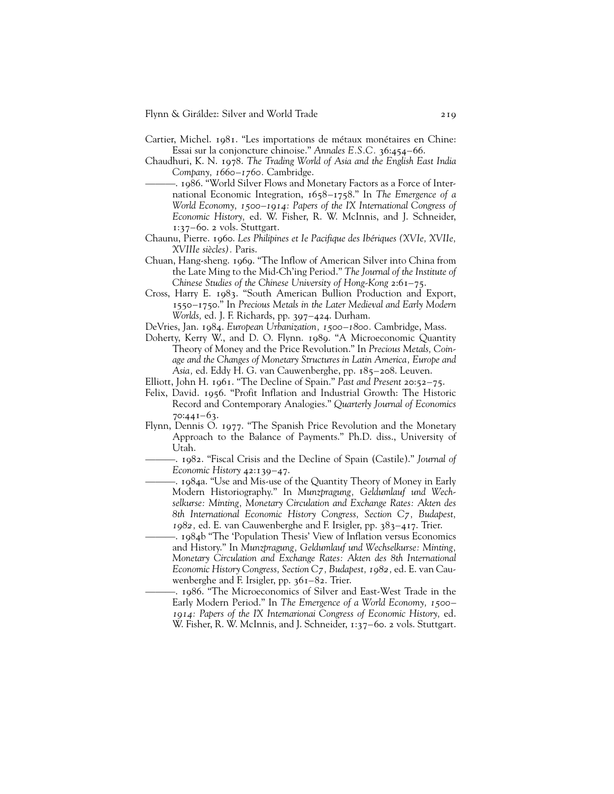- Cartier, Michel. 1981. "Les importations de métaux monétaires en Chine: Essai sur la conjoncture chinoise." *Annales E.S.C.* 36:454–66.
- Chaudhuri, K. N. 1978. *The Trading World of Asia and the English East India Company, 1660–1760.* Cambridge.
- ———. 1986. "World Silver Flows and Monetary Factors as a Force of International Economic Integration, 1658–1758." In *The Emergence of a World Economy, 1500–1914: Papers of the IX International Congress of Economic History,* ed. W. Fisher, R. W. McInnis, and J. Schneider, 1:37–60. 2 vols. Stuttgart.
- Chaunu, Pierre. 1960. *Les Philipines et Ie Pacifique des Ibériques (XVIe, XVIIe, XVIIIe siècles).* Paris.
- Chuan, Hang-sheng. 1969. "The Inflow of American Silver into China from the Late Ming to the Mid-Ch'ing Period." *The Journal of the Institute of Chinese Studies of the Chinese University of Hong-Kong* 2:61–75.
- Cross, Harry E. 1983. "South American Bullion Production and Export, 1550–1750." In *Precious Metals in the Later Medieval and Early Modern Worlds,* ed. J. F. Richards, pp. 397–424. Durham.
- DeVries, Jan. 1984. *European Urbanization, 1500–1800.* Cambridge, Mass.
- Doherty, Kerry W., and D. O. Flynn. 1989. "A Microeconomic Quantity Theory of Money and the Price Revolution." In *Precious Metals, Coinage and the Changes of Monetary Structures in Latin America, Europe and Asia,* ed. Eddy H. G. van Cauwenberghe, pp. 185–208. Leuven.
- Elliott, John H. 1961. "The Decline of Spain." *Past and Present* 20:52–75.
- Felix, David. 1956. "Profit Inflation and Industrial Growth: The Historic Record and Contemporary Analogies." *Quarterly Journal of Economics* 70:441–63.
- Flynn, Dennis O. 1977. "The Spanish Price Revolution and the Monetary Approach to the Balance of Payments." Ph.D. diss., University of Utah.
	- ———. 1982. "Fiscal Crisis and the Decline of Spain (Castile)." *Journal of Economic History* 42:139–47.
	- ———. 1984a. "Use and Mis-use of the Quantity Theory of Money in Early Modern Historiography." In *Munzpragung, Geldumlauf und Wechselkurse: Minting, Monetary Circulation and Exchange Rates: Akten des 8th International Economic History Congress, Section C7, Budapest, 1982,* ed. E. van Cauwenberghe and F. Irsigler, pp. 383–417. Trier.
	- ———. 1984b "The 'Population Thesis' View of Inflation versus Economics and History." In *Munzpragung, Geldumlauf und Wechselkurse: Minting, Monetary Circulation and Exchange Rates: Akten des 8th International Economic History Congress, Section C7, Budapest, 1982,* ed. E. van Cauwenberghe and F. Irsigler, pp. 361–82. Trier.
	- ———. 1986. "The Microeconomics of Silver and East-West Trade in the Early Modern Period." In *The Emergence of a World Economy, 1500– 1914: Papers of the IX Intemarionai Congress of Economic History,* ed. W. Fisher, R. W. McInnis, and J. Schneider, 1:37–60. 2 vols. Stuttgart.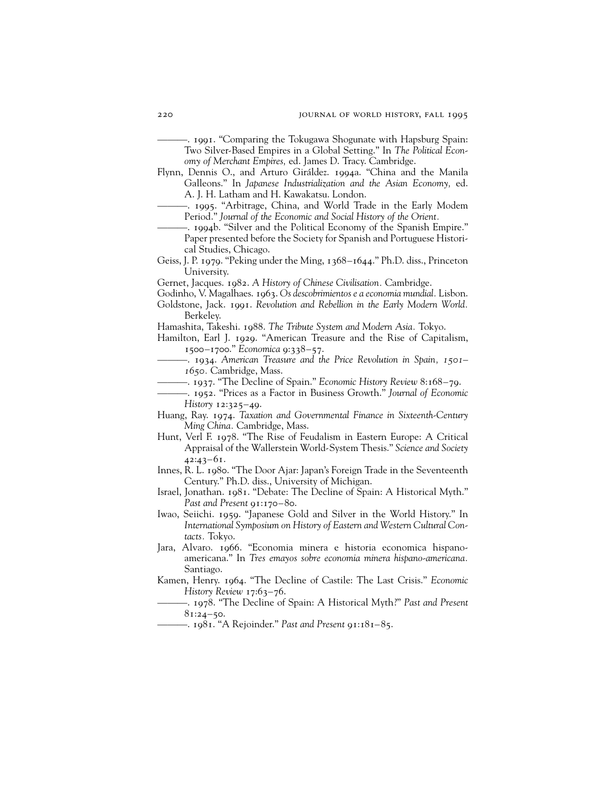———. 1991. "Comparing the Tokugawa Shogunate with Hapsburg Spain: Two Silver-Based Empires in a Global Setting." In *The Political Economy of Merchant Empires,* ed. James D. Tracy. Cambridge.

- Flynn, Dennis O., and Arturo Giráldez. 1994a. "China and the Manila Galleons." In *Japanese Industrialization and the Asian Economy,* ed. A. J. H. Latham and H. Kawakatsu. London.
- ———. 1995. "Arbitrage, China, and World Trade in the Early Modem Period." *Journal of the Economic and Social History of the Orient.*
	- ———. 1994b. "Silver and the Political Economy of the Spanish Empire." Paper presented before the Society for Spanish and Portuguese Historical Studies, Chicago.
- Geiss, J. P. 1979. "Peking under the Ming, 1368–1644." Ph.D. diss., Princeton University.

Gernet, Jacques. 1982. *A History of Chinese Civilisation.* Cambridge.

- Godinho, V. Magalhaes. 1963. *Os descobrimientos e a economia mundial.* Lisbon. Goldstone, Jack. 1991. *Revolution and Rebellion in the Early Modern World.* Berkeley.
- Hamashita, Takeshi. 1988. *The Tribute System and Modern Asia.* Tokyo.
- Hamilton, Earl J. 1929. "American Treasure and the Rise of Capitalism, 1500–1700." *Economica* 9:338–57.
- ———. 1934. *American Treasure and the Price Revolution in Spain, 1501– 1650.* Cambridge, Mass.
- ———. 1937. "The Decline of Spain." *Economic History Review* 8:168–79.
- ———. 1952. "Prices as a Factor in Business Growth." *Journal of Economic History* 12:325–49.
- Huang, Ray. 1974. *Taxation and Governmental Finance in Sixteenth-Century Ming China.* Cambridge, Mass.
- Hunt, Verl F. 1978. "The Rise of Feudalism in Eastern Europe: A Critical Appraisal of the Wallerstein World-System Thesis." *Science and Society* 42:43–61.
- Innes, R. L. 1980. "The Door Ajar: Japan's Foreign Trade in the Seventeenth Century." Ph.D. diss., University of Michigan.
- Israel, Jonathan. 1981. "Debate: The Decline of Spain: A Historical Myth." *Past and Present* 91:170–80.
- Iwao, Seiichi. 1959. "Japanese Gold and Silver in the World History." In *International Symposium on History of Eastern and Western Cultural Contacts.* Tokyo.
- Jara, Alvaro. 1966. "Economia minera e historia economica hispanoamericana." In *Tres emayos sobre economia minera hispano-americana.* Santiago.
- Kamen, Henry. 1964. "The Decline of Castile: The Last Crisis." *Economic History Review* 17:63–76.
- ———. 1978. "The Decline of Spain: A Historical Myth?" *Past and Present* 81:24–50.
	- ———. 1981. "A Rejoinder." *Past and Present* 91:181–85.